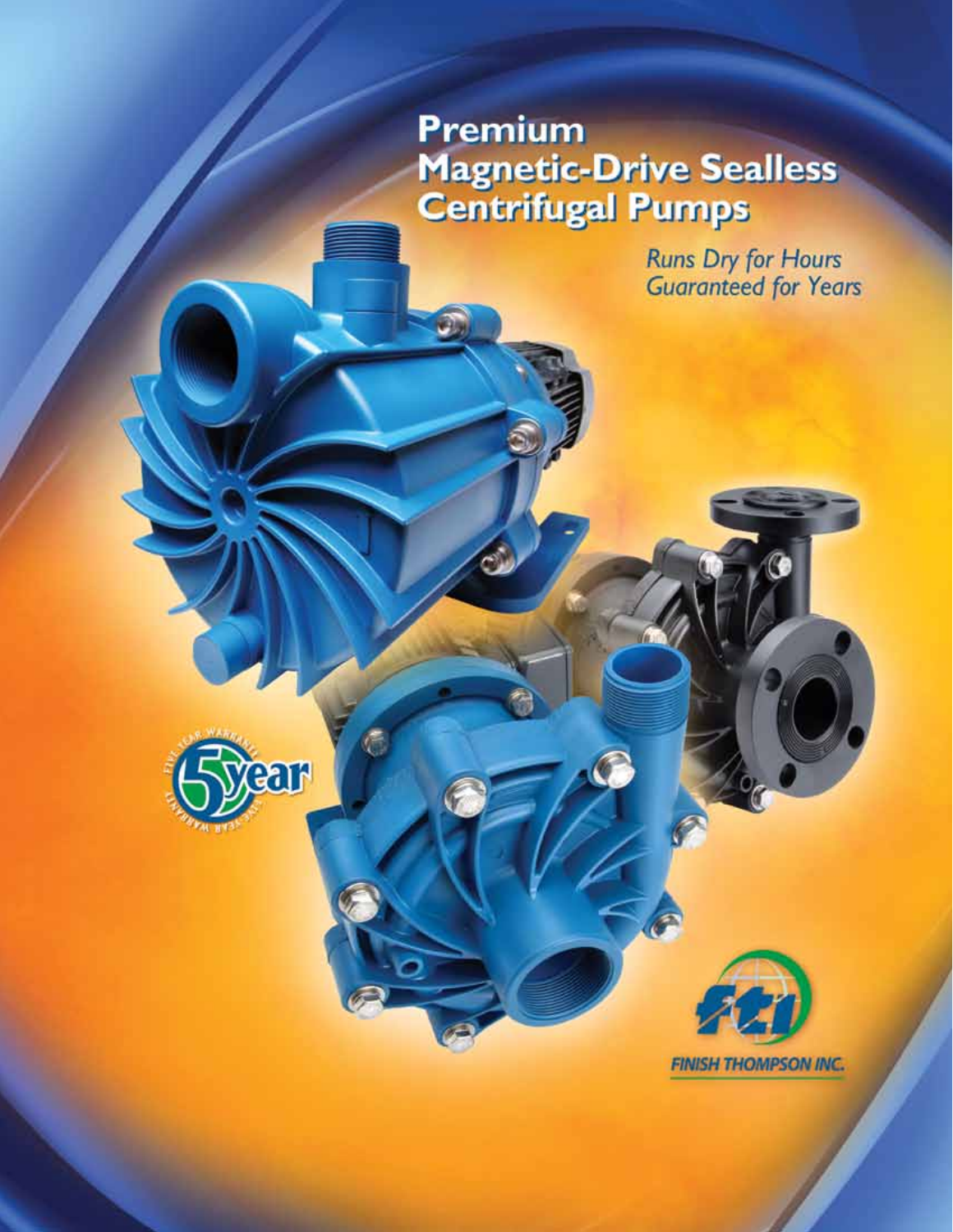# **Premium Magnetic-Drive Sealless<br>Centrifugal Pumps**

**Runs Dry for Hours<br>Guaranteed for Years** 



**FINISH THOMPSON INC.**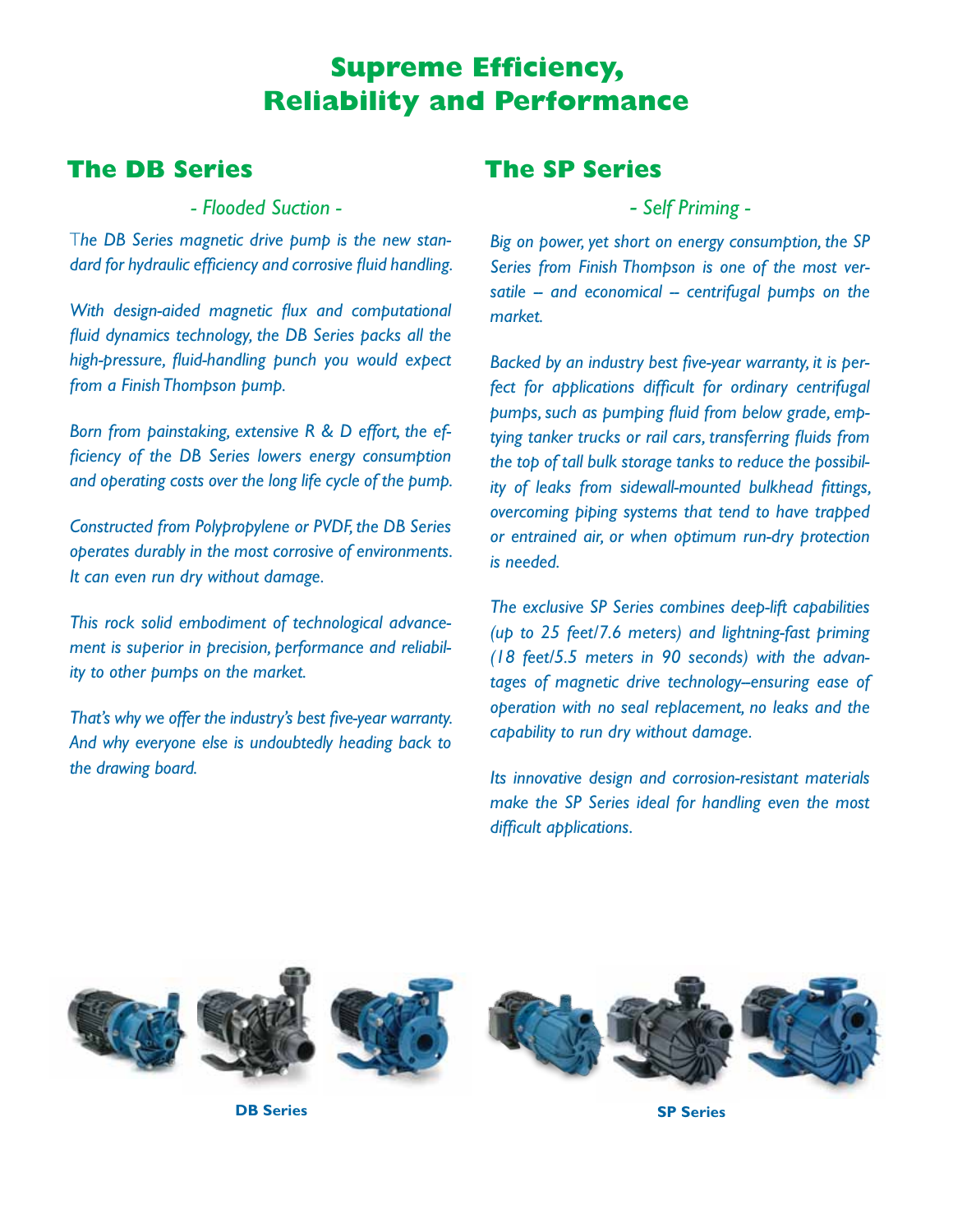# **Supreme Efficiency, Reliability and Performance**

## **The DB Series**

*- Flooded Suction -*

T*he DB Series magnetic drive pump is the new standard for hydraulic efficiency and corrosive fluid handling.*

*With design-aided magnetic flux and computational fluid dynamics technology, the DB Series packs all the high-pressure, fluid-handling punch you would expect from a Finish Thompson pump.*

*Born from painstaking, extensive R & D effort, the efficiency of the DB Series lowers energy consumption and operating costs over the long life cycle of the pump.*

*Constructed from Polypropylene or PVDF, the DB Series operates durably in the most corrosive of environments. It can even run dry without damage.*

*This rock solid embodiment of technological advancement is superior in precision, performance and reliability to other pumps on the market.*

*That's why we offer the industry's best five-year warranty. And why everyone else is undoubtedly heading back to the drawing board.*

## **The SP Series**

*- Self Priming -*

*Big on power, yet short on energy consumption, the SP Series from Finish Thompson is one of the most ver*satile -- and economical -- centrifugal pumps on the *market.*

*Backed by an industry best five-year warranty, it is perfect for applications difficult for ordinary centrifugal pumps, such as pumping fluid from below grade, emptying tanker trucks or rail cars, transferring fluids from the top of tall bulk storage tanks to reduce the possibility of leaks from sidewall-mounted bulkhead fittings, overcoming piping systems that tend to have trapped or entrained air, or when optimum run-dry protection is needed.*

*The exclusive SP Series combines deep-lift capabilities (up to 25 feet/7.6 meters) and lightning-fast priming (18 feet/5.5 meters in 90 seconds) with the advantages of magnetic drive technology--ensuring ease of operation with no seal replacement, no leaks and the capability to run dry without damage.*

*Its innovative design and corrosion-resistant materials make the SP Series ideal for handling even the most difficult applications.*



**DB Series SP Series**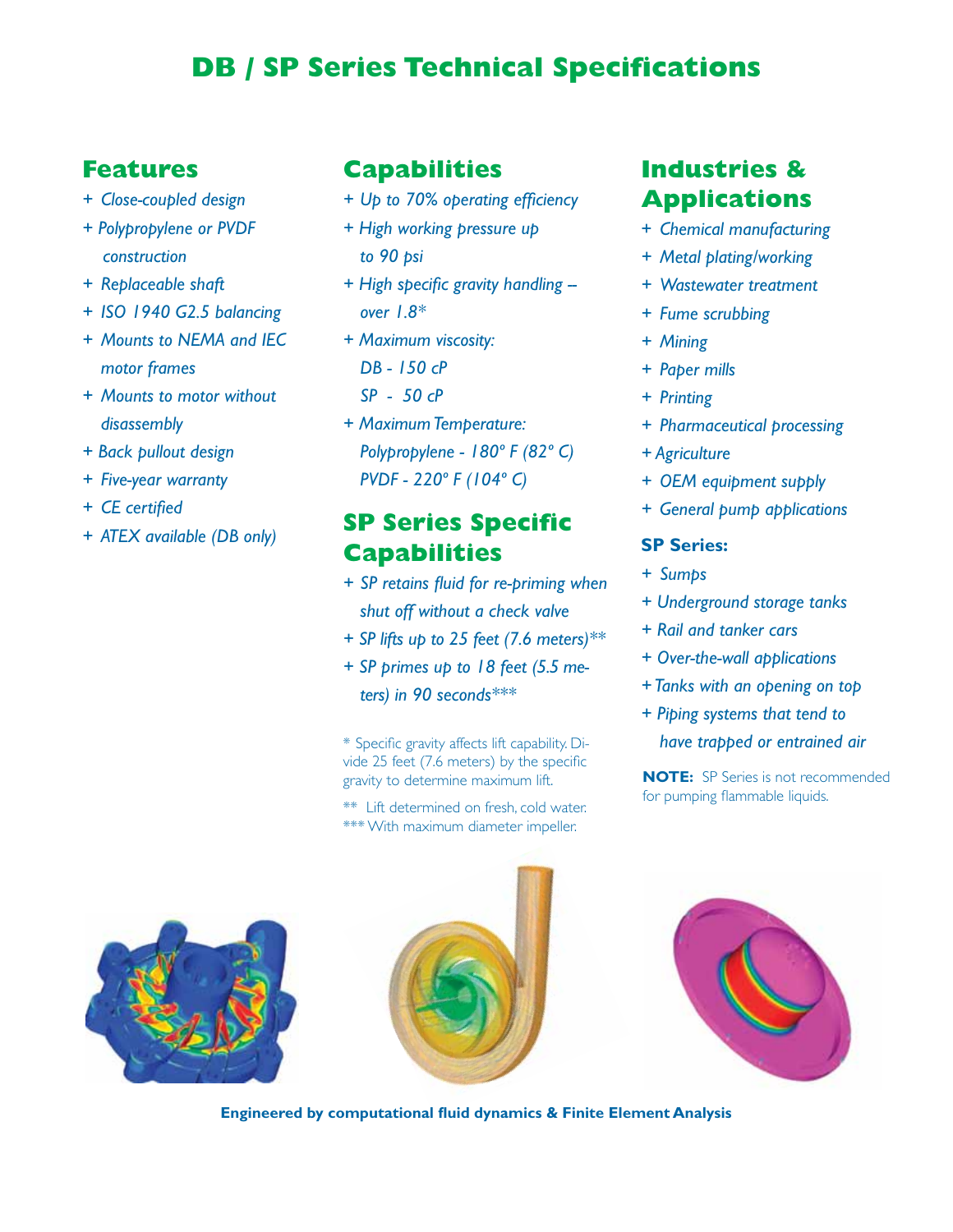# **DB / SP Series Technical Specifications**

## **Features**

- *+ Close-coupled design*
- *+ Polypropylene or PVDF construction*
- *+ Replaceable shaft*
- *+ ISO 1940 G2.5 balancing*
- *+ Mounts to NEMA and IEC motor frames*
- *+ Mounts to motor without disassembly*
- *+ Back pullout design*
- *+ Five-year warranty*
- *+ CE certified*
- *+ ATEX available (DB only)*

### **Capabilities**

- *+ Up to 70% operating efficiency*
- *+ High working pressure up to 90 psi*
- *+ High specific gravity handling over 1.8\**
- *+ Maximum viscosity: DB - 150 cP SP - 50 cP*
- *+ Maximum Temperature: Polypropylene - 180º F (82º C) PVDF - 220º F (104º C)*

## **SP Series Specific Capabilities**

- *+ SP retains fluid for re-priming when shut off without a check valve*
- *+ SP lifts up to 25 feet (7.6 meters)\*\**
- *+ SP primes up to 18 feet (5.5 meters) in 90 seconds\*\*\**

\* Specific gravity affects lift capability. Divide 25 feet (7.6 meters) by the specific gravity to determine maximum lift. **NOTE:** SP Series is not recommended

\*\* Lift determined on fresh, cold water. \*\*\* With maximum diameter impeller.

## **Industries & Applications**

- + *Chemical manufacturing*
- *+ Metal plating/working*
- *+ Wastewater treatment*
- *+ Fume scrubbing*
- *+ Mining*
- *+ Paper mills*
- *+ Printing*
- *+ Pharmaceutical processing*
- *+ Agriculture*
- *+ OEM equipment supply*
- *+ General pump applications*

#### **SP Series:**

- *+ Sumps*
- *+ Underground storage tanks*
- *+ Rail and tanker cars*
- *+ Over-the-wall applications*
- *+ Tanks with an opening on top*
- *+ Piping systems that tend to have trapped or entrained air*

for pumping flammable liquids.







**Engineered by computational fluid dynamics & Finite Element Analysis**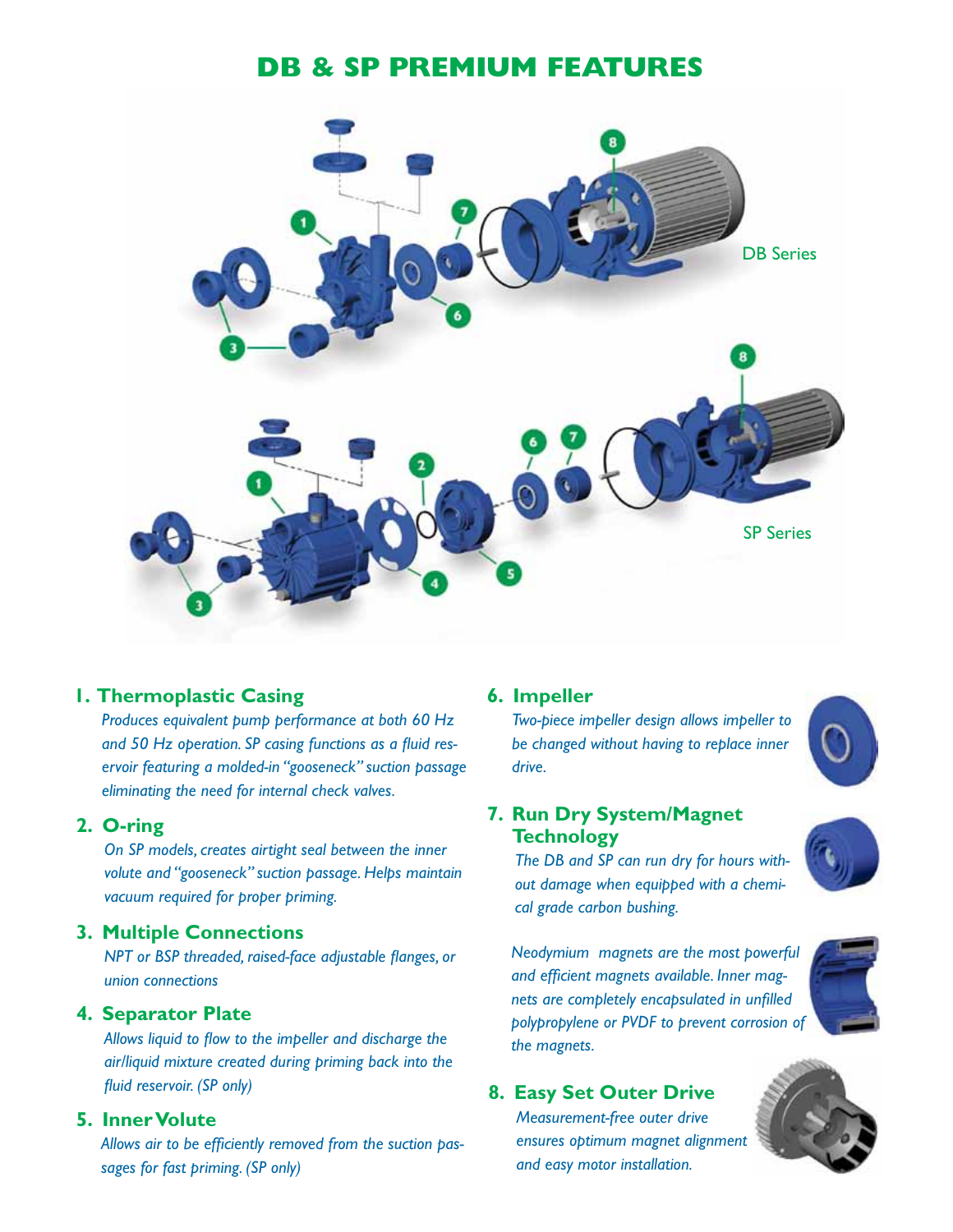# **DB & SP Premium Features**



#### **1. Thermoplastic Casing**

*Produces equivalent pump performance at both 60 Hz and 50 Hz operation. SP casing functions as a fluid reservoir featuring a molded-in "gooseneck" suction passage eliminating the need for internal check valves.*

#### **2. O-ring**

*On SP models, creates airtight seal between the inner volute and "gooseneck" suction passage. Helps maintain vacuum required for proper priming.*

#### **3. Multiple Connections**

*NPT or BSP threaded, raised-face adjustable flanges, or union connections*

#### **4. Separator Plate**

*Allows liquid to flow to the impeller and discharge the air/liquid mixture created during priming back into the fluid reservoir. (SP only)*

#### **5. Inner Volute**

*Allows air to be efficiently removed from the suction passages for fast priming. (SP only)*

#### **6. Impeller**

*Two-piece impeller design allows impeller to be changed without having to replace inner drive.* 



#### **7. Run Dry System/Magnet Technology**

*The DB and SP can run dry for hours without damage when equipped with a chemical grade carbon bushing.* 

*Neodymium magnets are the most powerful and efficient magnets available. Inner magnets are completely encapsulated in unfilled polypropylene or PVDF to prevent corrosion of the magnets.* 

#### **8. Easy Set Outer Drive**

*Measurement-free outer drive ensures optimum magnet alignment and easy motor installation.* 

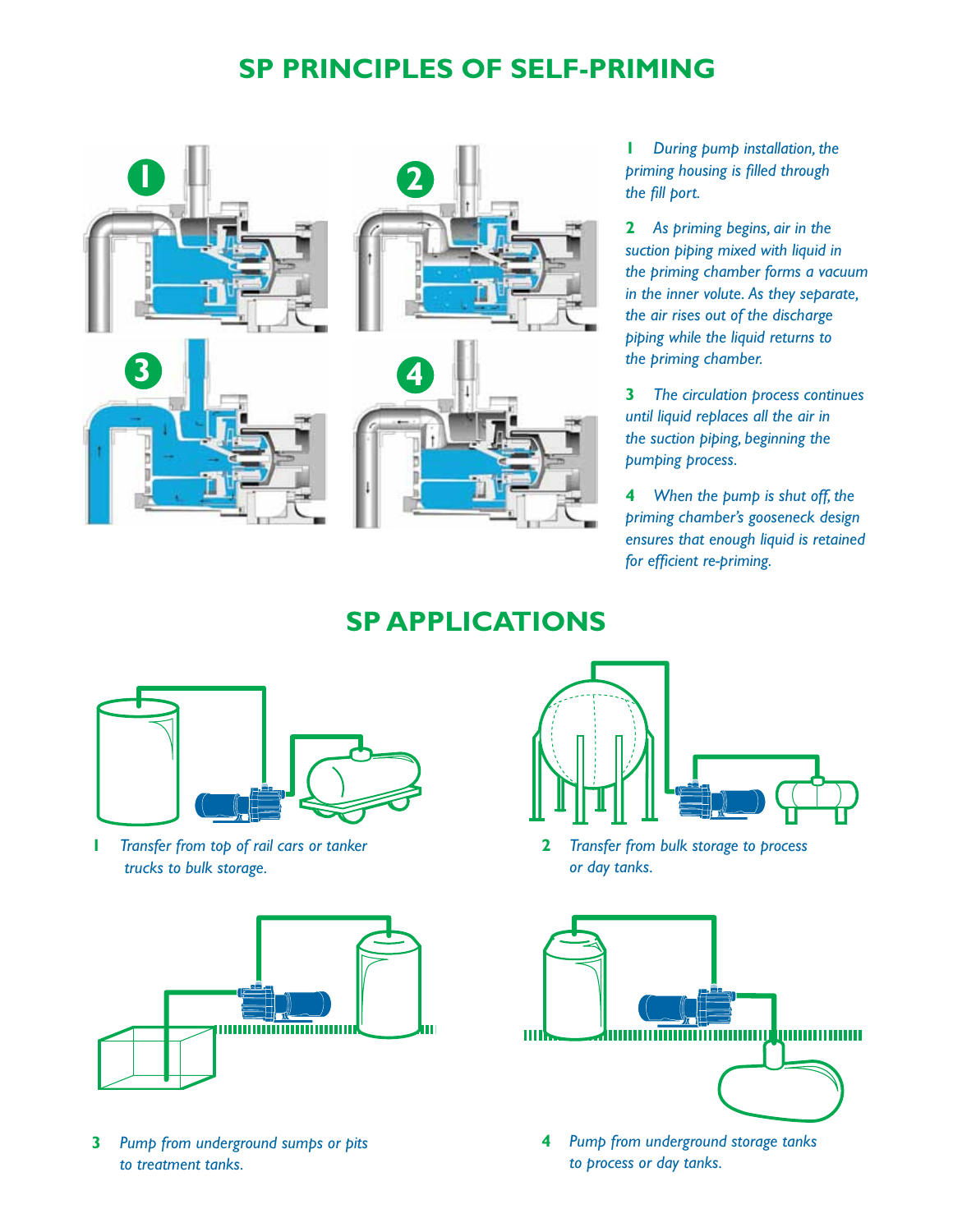# **SP Principles of Self-Priming**



**1** *During pump installation, the priming housing is filled through the fill port.*

**2** *As priming begins, air in the suction piping mixed with liquid in the priming chamber forms a vacuum in the inner volute. As they separate, the air rises out of the discharge piping while the liquid returns to the priming chamber.*

**3** *The circulation process continues until liquid replaces all the air in the suction piping, beginning the pumping process.*

**4** *When the pump is shut off, the priming chamber's gooseneck design ensures that enough liquid is retained for efficient re-priming.*

## **SP Applications**



**1** *Transfer from top of rail cars or tanker trucks to bulk storage.*



**3** *Pump from underground sumps or pits to treatment tanks.*



**2** *Transfer from bulk storage to process or day tanks.*



**4** *Pump from underground storage tanks to process or day tanks.*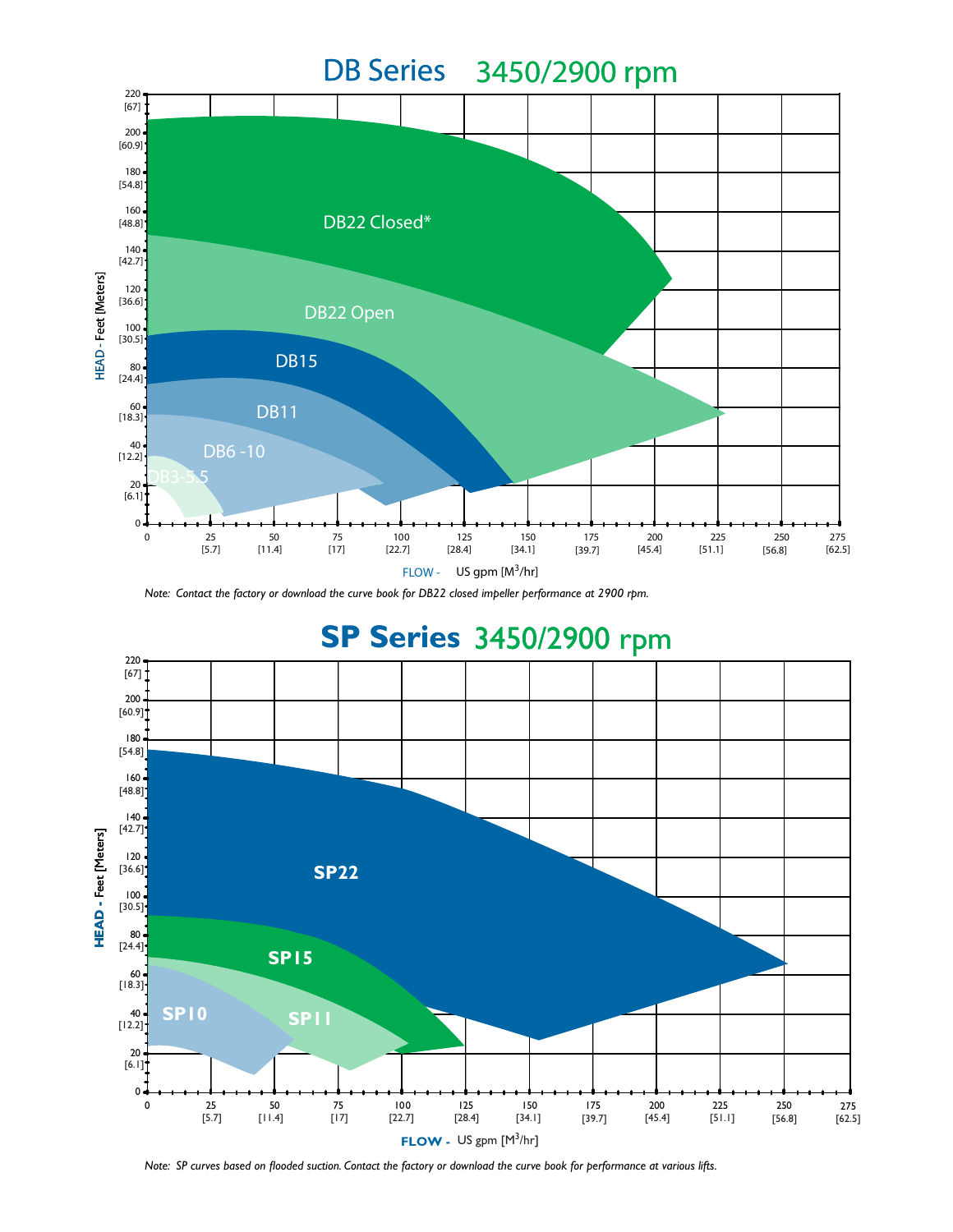

*Note: Contact the factory or download the curve book for DB22 closed impeller performance at 2900 rpm.*



*Note: SP curves based on flooded suction. Contact the factory or download the curve book for performance at various lifts.*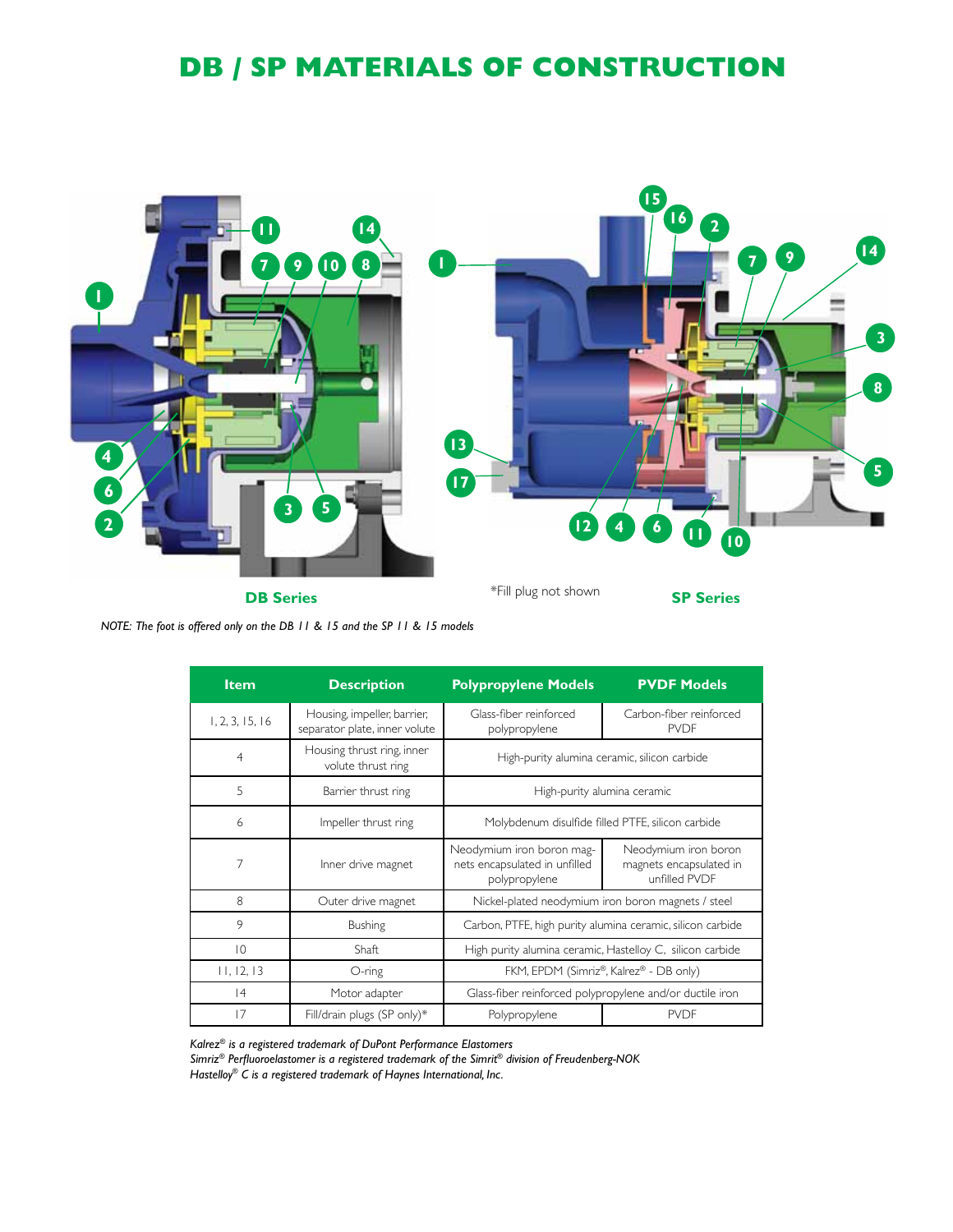# **DB / SP Materials of Construction**



*NOTE: The foot is offered only on the DB 11 & 15 and the SP 11 & 15 models*

| <b>Item</b>     | <b>Description</b>                                           | <b>Polypropylene Models</b>                                                 | <b>PVDF Models</b>                                               |
|-----------------|--------------------------------------------------------------|-----------------------------------------------------------------------------|------------------------------------------------------------------|
| 1, 2, 3, 15, 16 | Housing, impeller, barrier,<br>separator plate, inner volute | Glass-fiber reinforced<br>polypropylene                                     | Carbon-fiber reinforced<br><b>PVDF</b>                           |
| 4               | Housing thrust ring, inner<br>volute thrust ring             | High-purity alumina ceramic, silicon carbide                                |                                                                  |
| 5               | Barrier thrust ring                                          | High-purity alumina ceramic                                                 |                                                                  |
| 6               | Impeller thrust ring                                         | Molybdenum disulfide filled PTFE, silicon carbide                           |                                                                  |
| 7               | Inner drive magnet                                           | Neodymium iron boron mag-<br>nets encapsulated in unfilled<br>polypropylene | Neodymium iron boron<br>magnets encapsulated in<br>unfilled PVDF |
| 8               | Outer drive magnet                                           | Nickel-plated neodymium iron boron magnets / steel                          |                                                                  |
| 9               | <b>Bushing</b>                                               | Carbon, PTFE, high purity alumina ceramic, silicon carbide                  |                                                                  |
| 10              | Shaft                                                        | High purity alumina ceramic, Hastelloy C, silicon carbide                   |                                                                  |
| 11, 12, 13      | O-ring                                                       | FKM, EPDM (Simriz®, Kalrez® - DB only)                                      |                                                                  |
| 4               | Motor adapter                                                | Glass-fiber reinforced polypropylene and/or ductile iron                    |                                                                  |
| 17              | Fill/drain plugs (SP only)*                                  | Polypropylene                                                               | <b>PVDF</b>                                                      |

*Kalrez® is a registered trademark of DuPont Performance Elastomers*

*Simriz® Perfluoroelastomer is a registered trademark of the Simrit® division of Freudenberg-NOK*

*Hastelloy® C is a registered trademark of Haynes International, Inc.*